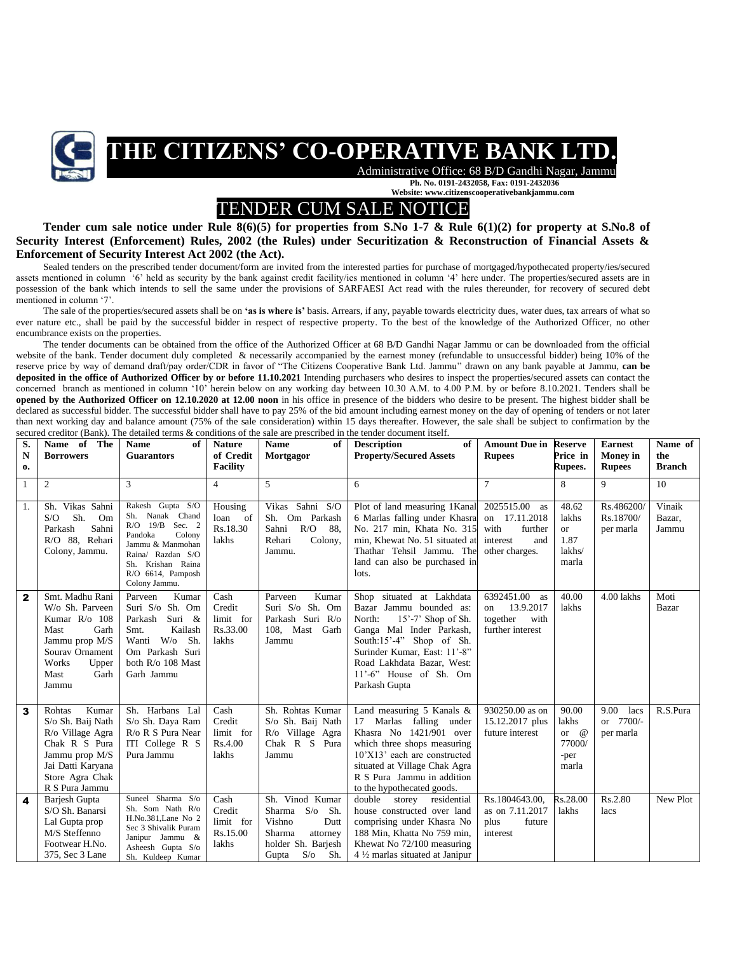

## **THE CITIZENS' CO-OPERATIVE BANK LTD.**

 Administrative Office: 68 B/D Gandhi Nagar, Jammu **Ph. No. 0191-2432058, Fax: 0191-2432036 Website: www.citizenscooperativebankjammu.com**

## TENDER CUM SALE NOTICE

**Tender cum sale notice under Rule 8(6)(5) for properties from S.No 1-7 & Rule 6(1)(2) for property at S.No.8 of Security Interest (Enforcement) Rules, 2002 (the Rules) under Securitization & Reconstruction of Financial Assets & Enforcement of Security Interest Act 2002 (the Act).**

Sealed tenders on the prescribed tender document/form are invited from the interested parties for purchase of mortgaged/hypothecated property/ies/secured assets mentioned in column '6' held as security by the bank against credit facility/ies mentioned in column '4' here under. The properties/secured assets are in possession of the bank which intends to sell the same under the provisions of SARFAESI Act read with the rules thereunder, for recovery of secured debt mentioned in column '7'.

The sale of the properties/secured assets shall be on **'as is where is'** basis. Arrears, if any, payable towards electricity dues, water dues, tax arrears of what so ever nature etc., shall be paid by the successful bidder in respect of respective property. To the best of the knowledge of the Authorized Officer, no other encumbrance exists on the properties.

The tender documents can be obtained from the office of the Authorized Officer at 68 B/D Gandhi Nagar Jammu or can be downloaded from the official website of the bank. Tender document duly completed & necessarily accompanied by the earnest money (refundable to unsuccessful bidder) being 10% of the reserve price by way of demand draft/pay order/CDR in favor of "The Citizens Cooperative Bank Ltd. Jammu" drawn on any bank payable at Jammu, **can be deposited in the office of Authorized Officer by or before 11.10.2021** Intending purchasers who desires to inspect the properties/secured assets can contact the concerned branch as mentioned in column '10' herein below on any working day between 10.30 A.M. to 4.00 P.M. by or before 8.10.2021. Tenders shall be **opened by the Authorized Officer on 12.10.2020 at 12.00 noon** in his office in presence of the bidders who desire to be present. The highest bidder shall be declared as successful bidder. The successful bidder shall have to pay 25% of the bid amount including earnest money on the day of opening of tenders or not later than next working day and balance amount (75% of the sale consideration) within 15 days thereafter. However, the sale shall be subject to confirmation by the secured creditor (Bank). The detailed terms & conditions of the sale are prescribed in the tender document itself.

| S.           | Name of<br>The                   | <b>Name</b><br>of                    | <b>Nature</b>   | <b>Name</b><br>of     | <b>Description</b><br>of                                | <b>Amount Due in</b> | <b>Reserve</b> | <b>Earnest</b>  | Name of       |
|--------------|----------------------------------|--------------------------------------|-----------------|-----------------------|---------------------------------------------------------|----------------------|----------------|-----------------|---------------|
| $\mathbf N$  | <b>Borrowers</b>                 | <b>Guarantors</b>                    | of Credit       | Mortgagor             | <b>Property/Secured Assets</b>                          | <b>Rupees</b>        | Price in       | <b>Money</b> in | the           |
| $\mathbf{0}$ |                                  |                                      | <b>Facility</b> |                       |                                                         |                      | <b>Rupees.</b> | <b>Rupees</b>   | <b>Branch</b> |
| $\mathbf{1}$ | $\overline{c}$                   | 3                                    | $\overline{4}$  | 5                     | 6                                                       | $\overline{7}$       | 8              | 9               | 10            |
|              |                                  |                                      |                 |                       |                                                         |                      |                |                 |               |
| 1.           | Sh. Vikas Sahni                  | Rakesh Gupta S/O                     | Housing         | Vikas Sahni S/O       | Plot of land measuring 1Kanal                           | 2025515.00<br>as     | 48.62          | Rs.486200/      | Vinaik        |
|              | Sh.<br>S/O<br>Om                 | Sh. Nanak Chand<br>R/O 19/B Sec. 2   | - of<br>loan    | Sh. Om Parkash        | 6 Marlas falling under Khasra                           | on 17.11.2018        | lakhs          | Rs.18700/       | Bazar,        |
|              | Sahni<br>Parkash                 | Pandoka<br>Colony                    | Rs.18.30        | R/O<br>- 88.<br>Sahni | No. 217 min, Khata No. 315                              | with<br>further      | <b>or</b>      | per marla       | Jammu         |
|              | R/O 88, Rehari                   | Jammu & Manmohan                     | lakhs           | Colony,<br>Rehari     | min, Khewat No. 51 situated at                          | interest<br>and      | 1.87           |                 |               |
|              | Colony, Jammu.                   | Raina/ Razdan S/O                    |                 | Jammu.                | Thathar Tehsil Jammu. The                               | other charges.       | lakhs/         |                 |               |
|              |                                  | Sh. Krishan Raina                    |                 |                       | land can also be purchased in<br>lots.                  |                      | marla          |                 |               |
|              |                                  | R/O 6614, Pamposh<br>Colony Jammu.   |                 |                       |                                                         |                      |                |                 |               |
| $\mathbf{2}$ | Smt. Madhu Rani                  | Kumar<br>Parveen                     | Cash            | Parveen<br>Kumar      | Shop situated at Lakhdata                               | 6392451.00<br>as     | 40.00          | 4.00 lakhs      | Moti          |
|              | W/o Sh. Parveen                  | Suri S/o Sh. Om                      | Credit          | Suri S/o Sh. Om       | Bazar Jammu bounded as:                                 | 13.9.2017<br>on      | lakhs          |                 | Bazar         |
|              | Kumar R/o 108                    | Parkash<br>Suri &                    | limit for       | Parkash Suri R/o      | $15'$ -7' Shop of Sh.<br>North:                         | together<br>with     |                |                 |               |
|              | Garh<br>Mast                     | Kailash<br>Smt.                      | Rs.33.00        | 108, Mast Garh        | Ganga Mal Inder Parkash,                                | further interest     |                |                 |               |
|              | Jammu prop M/S                   | Wanti W/o<br>Sh.                     | lakhs           | Jammu                 | South:15'-4" Shop of Sh.                                |                      |                |                 |               |
|              | Sourav Ornament                  | Om Parkash Suri                      |                 |                       | Surinder Kumar, East: 11'-8"                            |                      |                |                 |               |
|              | Works<br>Upper<br>Garh<br>Mast   | both R/o 108 Mast<br>Garh Jammu      |                 |                       | Road Lakhdata Bazar, West:<br>$11'$ -6" House of Sh. Om |                      |                |                 |               |
|              | Jammu                            |                                      |                 |                       | Parkash Gupta                                           |                      |                |                 |               |
|              |                                  |                                      |                 |                       |                                                         |                      |                |                 |               |
| 3            | Kumar<br>Rohtas                  | Sh. Harbans Lal                      | Cash            | Sh. Rohtas Kumar      | Land measuring 5 Kanals &                               | 930250.00 as on      | 90.00          | 9.00<br>lacs    | R.S.Pura      |
|              | S/o Sh. Baij Nath                | S/o Sh. Daya Ram                     | Credit          | S/o Sh. Baij Nath     | Marlas falling under<br>17                              | 15.12.2017 plus      | lakhs          | or 7700/-       |               |
|              | R/o Village Agra                 | R/o R S Pura Near                    | limit for       | R/o Village Agra      | Khasra No 1421/901 over                                 | future interest      | or $\omega$    | per marla       |               |
|              | Chak R S Pura                    | ITI College R S                      | Rs.4.00         | Chak R S Pura         | which three shops measuring                             |                      | 77000/         |                 |               |
|              | Jammu prop M/S                   | Pura Jammu                           | lakhs           | Jammu                 | 10'X13' each are constructed                            |                      | -per           |                 |               |
|              | Jai Datti Karyana                |                                      |                 |                       | situated at Village Chak Agra                           |                      | marla          |                 |               |
|              | Store Agra Chak                  |                                      |                 |                       | R S Pura Jammu in addition                              |                      |                |                 |               |
|              | R S Pura Jammu                   | Suneel Sharma S/o                    | Cash            | Sh. Vinod Kumar       | to the hypothecated goods.<br>double storey residential | Rs.1804643.00.       | Rs.28.00       | Rs.2.80         | New Plot      |
| 4            | Barjesh Gupta<br>S/O Sh. Banarsi | Sh. Som Nath R/o                     | Credit          | Sharma S/o Sh.        | house constructed over land                             | as on 7.11.2017      | lakhs          | lacs            |               |
|              | Lal Gupta prop                   | H.No.381, Lane No 2                  | limit for       | Vishno<br>Dutt        | comprising under Khasra No                              | plus<br>future       |                |                 |               |
|              | M/S Steffenno                    | Sec 3 Shivalik Puram                 | Rs.15.00        | Sharma<br>attorney    | 188 Min. Khatta No 759 min.                             | interest             |                |                 |               |
|              | Footwear H.No.                   | Janipur Jammu &<br>Asheesh Gupta S/o | lakhs           | holder Sh. Barjesh    | Khewat No 72/100 measuring                              |                      |                |                 |               |
|              | 375, Sec 3 Lane                  | Sh. Kuldeep Kumar                    |                 | $S/O$ Sh.<br>Gupta    | 4 1/2 marlas situated at Janipur                        |                      |                |                 |               |